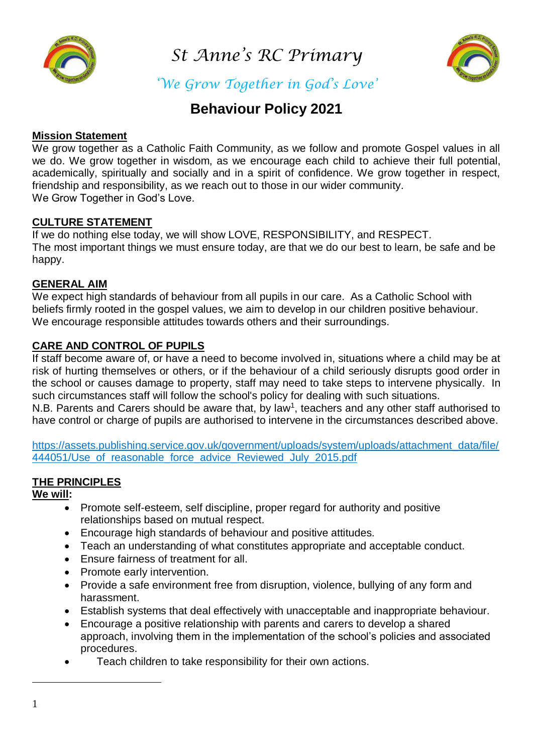

*St Anne's RC Primary* 



*'We Grow Together in God's Love'*

# **Behaviour Policy 2021**

#### **Mission Statement**

We grow together as a Catholic Faith Community, as we follow and promote Gospel values in all we do. We grow together in wisdom, as we encourage each child to achieve their full potential, academically, spiritually and socially and in a spirit of confidence. We grow together in respect, friendship and responsibility, as we reach out to those in our wider community. We Grow Together in God's Love.

### **CULTURE STATEMENT**

If we do nothing else today, we will show LOVE, RESPONSIBILITY, and RESPECT. The most important things we must ensure today, are that we do our best to learn, be safe and be happy.

#### **GENERAL AIM**

We expect high standards of behaviour from all pupils in our care. As a Catholic School with beliefs firmly rooted in the gospel values, we aim to develop in our children positive behaviour. We encourage responsible attitudes towards others and their surroundings.

### **CARE AND CONTROL OF PUPILS**

If staff become aware of, or have a need to become involved in, situations where a child may be at risk of hurting themselves or others, or if the behaviour of a child seriously disrupts good order in the school or causes damage to property, staff may need to take steps to intervene physically. In such circumstances staff will follow the school's policy for dealing with such situations.

N.B. Parents and Carers should be aware that, by law<sup>1</sup>, teachers and any other staff authorised to have control or charge of pupils are authorised to intervene in the circumstances described above.

[https://assets.publishing.service.gov.uk/government/uploads/system/uploads/attachment\\_data/file/](https://assets.publishing.service.gov.uk/government/uploads/system/uploads/attachment_data/file/444051/Use_of_reasonable_force_advice_Reviewed_July_2015.pdf) 444051/Use of reasonable force advice Reviewed July 2015.pdf

## **THE PRINCIPLES**

#### **We will:**

- Promote self-esteem, self discipline, proper regard for authority and positive relationships based on mutual respect.
- Encourage high standards of behaviour and positive attitudes.
- Teach an understanding of what constitutes appropriate and acceptable conduct.
- Ensure fairness of treatment for all.
- Promote early intervention.
- Provide a safe environment free from disruption, violence, bullying of any form and harassment.
- Establish systems that deal effectively with unacceptable and inappropriate behaviour.
- Encourage a positive relationship with parents and carers to develop a shared approach, involving them in the implementation of the school's policies and associated procedures.
- Teach children to take responsibility for their own actions.

<u>.</u>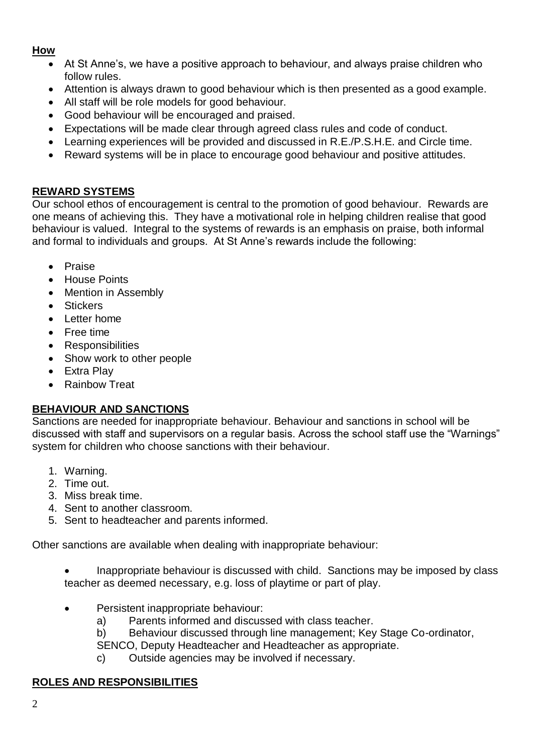## **How**

- At St Anne's, we have a positive approach to behaviour, and always praise children who follow rules.
- Attention is always drawn to good behaviour which is then presented as a good example.
- All staff will be role models for good behaviour.
- Good behaviour will be encouraged and praised.
- Expectations will be made clear through agreed class rules and code of conduct.
- Learning experiences will be provided and discussed in R.E./P.S.H.E. and Circle time.
- Reward systems will be in place to encourage good behaviour and positive attitudes.

## **REWARD SYSTEMS**

Our school ethos of encouragement is central to the promotion of good behaviour. Rewards are one means of achieving this. They have a motivational role in helping children realise that good behaviour is valued. Integral to the systems of rewards is an emphasis on praise, both informal and formal to individuals and groups. At St Anne's rewards include the following:

- Praise
- House Points
- Mention in Assembly
- Stickers
- Letter home
- Free time
- Responsibilities
- Show work to other people
- Extra Play
- Rainbow Treat

## **BEHAVIOUR AND SANCTIONS**

Sanctions are needed for inappropriate behaviour. Behaviour and sanctions in school will be discussed with staff and supervisors on a regular basis. Across the school staff use the "Warnings" system for children who choose sanctions with their behaviour.

- 1. Warning.
- 2. Time out.
- 3. Miss break time.
- 4. Sent to another classroom.
- 5. Sent to headteacher and parents informed.

Other sanctions are available when dealing with inappropriate behaviour:

- Inappropriate behaviour is discussed with child. Sanctions may be imposed by class teacher as deemed necessary, e.g. loss of playtime or part of play.
- Persistent inappropriate behaviour:
	- a) Parents informed and discussed with class teacher.
	- b) Behaviour discussed through line management; Key Stage Co-ordinator,
	- SENCO, Deputy Headteacher and Headteacher as appropriate.
	- c) Outside agencies may be involved if necessary.

## **ROLES AND RESPONSIBILITIES**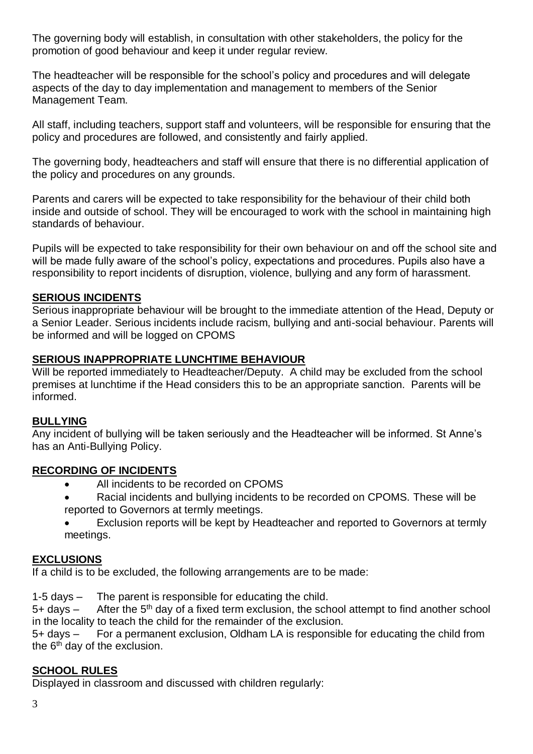The governing body will establish, in consultation with other stakeholders, the policy for the promotion of good behaviour and keep it under regular review.

The headteacher will be responsible for the school's policy and procedures and will delegate aspects of the day to day implementation and management to members of the Senior Management Team.

All staff, including teachers, support staff and volunteers, will be responsible for ensuring that the policy and procedures are followed, and consistently and fairly applied.

The governing body, headteachers and staff will ensure that there is no differential application of the policy and procedures on any grounds.

Parents and carers will be expected to take responsibility for the behaviour of their child both inside and outside of school. They will be encouraged to work with the school in maintaining high standards of behaviour.

Pupils will be expected to take responsibility for their own behaviour on and off the school site and will be made fully aware of the school's policy, expectations and procedures. Pupils also have a responsibility to report incidents of disruption, violence, bullying and any form of harassment.

### **SERIOUS INCIDENTS**

Serious inappropriate behaviour will be brought to the immediate attention of the Head, Deputy or a Senior Leader. Serious incidents include racism, bullying and anti-social behaviour. Parents will be informed and will be logged on CPOMS

#### **SERIOUS INAPPROPRIATE LUNCHTIME BEHAVIOUR**

Will be reported immediately to Headteacher/Deputy. A child may be excluded from the school premises at lunchtime if the Head considers this to be an appropriate sanction. Parents will be informed.

#### **BULLYING**

Any incident of bullying will be taken seriously and the Headteacher will be informed. St Anne's has an Anti-Bullying Policy.

#### **RECORDING OF INCIDENTS**

- All incidents to be recorded on CPOMS
- Racial incidents and bullying incidents to be recorded on CPOMS. These will be reported to Governors at termly meetings.
- Exclusion reports will be kept by Headteacher and reported to Governors at termly meetings.

#### **EXCLUSIONS**

If a child is to be excluded, the following arrangements are to be made:

1-5 days – The parent is responsible for educating the child.

 $5+$  days – After the  $5<sup>th</sup>$  day of a fixed term exclusion, the school attempt to find another school in the locality to teach the child for the remainder of the exclusion.

5+ days – For a permanent exclusion, Oldham LA is responsible for educating the child from the  $6<sup>th</sup>$  day of the exclusion.

## **SCHOOL RULES**

Displayed in classroom and discussed with children regularly: